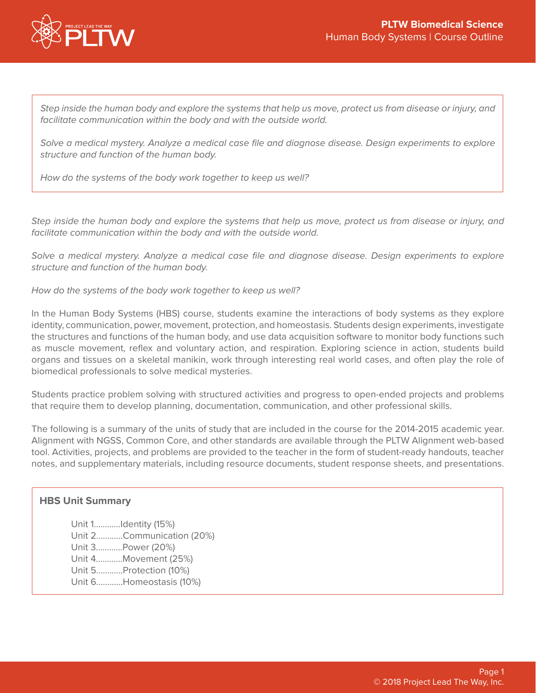

*Step inside the human body and explore the systems that help us move, protect us from disease or injury, and facilitate communication within the body and with the outside world.* 

*Solve a medical mystery. Analyze a medical case file and diagnose disease. Design experiments to explore structure and function of the human body.* 

*How do the systems of the body work together to keep us well?*

*Step inside the human body and explore the systems that help us move, protect us from disease or injury, and facilitate communication within the body and with the outside world.* 

*Solve a medical mystery. Analyze a medical case file and diagnose disease. Design experiments to explore structure and function of the human body.* 

*How do the systems of the body work together to keep us well?*

In the Human Body Systems (HBS) course, students examine the interactions of body systems as they explore identity, communication, power, movement, protection, and homeostasis. Students design experiments, investigate the structures and functions of the human body, and use data acquisition software to monitor body functions such as muscle movement, reflex and voluntary action, and respiration. Exploring science in action, students build organs and tissues on a skeletal manikin, work through interesting real world cases, and often play the role of biomedical professionals to solve medical mysteries.

Students practice problem solving with structured activities and progress to open-ended projects and problems that require them to develop planning, documentation, communication, and other professional skills.

The following is a summary of the units of study that are included in the course for the 2014-2015 academic year. Alignment with NGSS, Common Core, and other standards are available through the PLTW Alignment web-based tool. Activities, projects, and problems are provided to the teacher in the form of student-ready handouts, teacher notes, and supplementary materials, including resource documents, student response sheets, and presentations.

### **HBS Unit Summary**

Unit 1…………Identity (15%) Unit 2…………Communication (20%) Unit 3…………Power (20%) Unit 4…………Movement (25%) Unit 5…………Protection (10%) Unit 6…………Homeostasis (10%)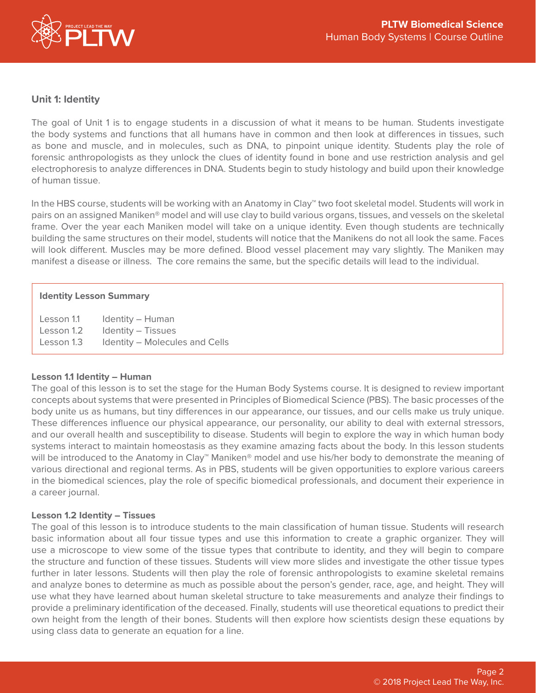

# **Unit 1: Identity**

The goal of Unit 1 is to engage students in a discussion of what it means to be human. Students investigate the body systems and functions that all humans have in common and then look at differences in tissues, such as bone and muscle, and in molecules, such as DNA, to pinpoint unique identity. Students play the role of forensic anthropologists as they unlock the clues of identity found in bone and use restriction analysis and gel electrophoresis to analyze differences in DNA. Students begin to study histology and build upon their knowledge of human tissue.

In the HBS course, students will be working with an Anatomy in Clay™ two foot skeletal model. Students will work in pairs on an assigned Maniken® model and will use clay to build various organs, tissues, and vessels on the skeletal frame. Over the year each Maniken model will take on a unique identity. Even though students are technically building the same structures on their model, students will notice that the Manikens do not all look the same. Faces will look different. Muscles may be more defined. Blood vessel placement may vary slightly. The Maniken may manifest a disease or illness. The core remains the same, but the specific details will lead to the individual.

### **Identity Lesson Summary**

| Lesson 1.1 | Identity - Human               |
|------------|--------------------------------|
| Lesson 1.2 | Identity – Tissues             |
| Lesson 1.3 | Identity - Molecules and Cells |

### **Lesson 1.1 Identity – Human**

The goal of this lesson is to set the stage for the Human Body Systems course. It is designed to review important concepts about systems that were presented in Principles of Biomedical Science (PBS). The basic processes of the body unite us as humans, but tiny differences in our appearance, our tissues, and our cells make us truly unique. These differences influence our physical appearance, our personality, our ability to deal with external stressors, and our overall health and susceptibility to disease. Students will begin to explore the way in which human body systems interact to maintain homeostasis as they examine amazing facts about the body. In this lesson students will be introduced to the Anatomy in Clay™ Maniken® model and use his/her body to demonstrate the meaning of various directional and regional terms. As in PBS, students will be given opportunities to explore various careers in the biomedical sciences, play the role of specific biomedical professionals, and document their experience in a career journal.

### **Lesson 1.2 Identity – Tissues**

The goal of this lesson is to introduce students to the main classification of human tissue. Students will research basic information about all four tissue types and use this information to create a graphic organizer. They will use a microscope to view some of the tissue types that contribute to identity, and they will begin to compare the structure and function of these tissues. Students will view more slides and investigate the other tissue types further in later lessons. Students will then play the role of forensic anthropologists to examine skeletal remains and analyze bones to determine as much as possible about the person's gender, race, age, and height. They will use what they have learned about human skeletal structure to take measurements and analyze their findings to provide a preliminary identification of the deceased. Finally, students will use theoretical equations to predict their own height from the length of their bones. Students will then explore how scientists design these equations by using class data to generate an equation for a line.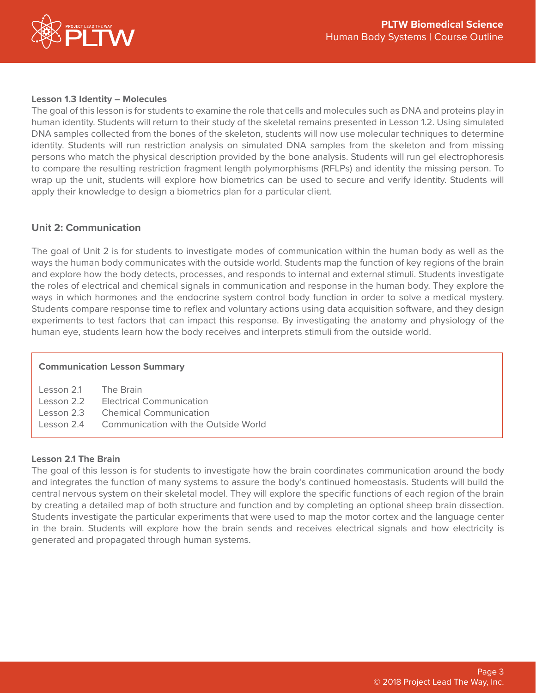

# **Lesson 1.3 Identity – Molecules**

The goal of this lesson is for students to examine the role that cells and molecules such as DNA and proteins play in human identity. Students will return to their study of the skeletal remains presented in Lesson 1.2. Using simulated DNA samples collected from the bones of the skeleton, students will now use molecular techniques to determine identity. Students will run restriction analysis on simulated DNA samples from the skeleton and from missing persons who match the physical description provided by the bone analysis. Students will run gel electrophoresis to compare the resulting restriction fragment length polymorphisms (RFLPs) and identity the missing person. To wrap up the unit, students will explore how biometrics can be used to secure and verify identity. Students will apply their knowledge to design a biometrics plan for a particular client.

# **Unit 2: Communication**

The goal of Unit 2 is for students to investigate modes of communication within the human body as well as the ways the human body communicates with the outside world. Students map the function of key regions of the brain and explore how the body detects, processes, and responds to internal and external stimuli. Students investigate the roles of electrical and chemical signals in communication and response in the human body. They explore the ways in which hormones and the endocrine system control body function in order to solve a medical mystery. Students compare response time to reflex and voluntary actions using data acquisition software, and they design experiments to test factors that can impact this response. By investigating the anatomy and physiology of the human eye, students learn how the body receives and interprets stimuli from the outside world.

### **Communication Lesson Summary**

| Lesson 2.1 The Brain |                                                 |
|----------------------|-------------------------------------------------|
|                      | Lesson 2.2 Electrical Communication             |
|                      | Lesson 2.3 Chemical Communication               |
|                      | Lesson 2.4 Communication with the Outside World |
|                      |                                                 |

### **Lesson 2.1 The Brain**

The goal of this lesson is for students to investigate how the brain coordinates communication around the body and integrates the function of many systems to assure the body's continued homeostasis. Students will build the central nervous system on their skeletal model. They will explore the specific functions of each region of the brain by creating a detailed map of both structure and function and by completing an optional sheep brain dissection. Students investigate the particular experiments that were used to map the motor cortex and the language center in the brain. Students will explore how the brain sends and receives electrical signals and how electricity is generated and propagated through human systems.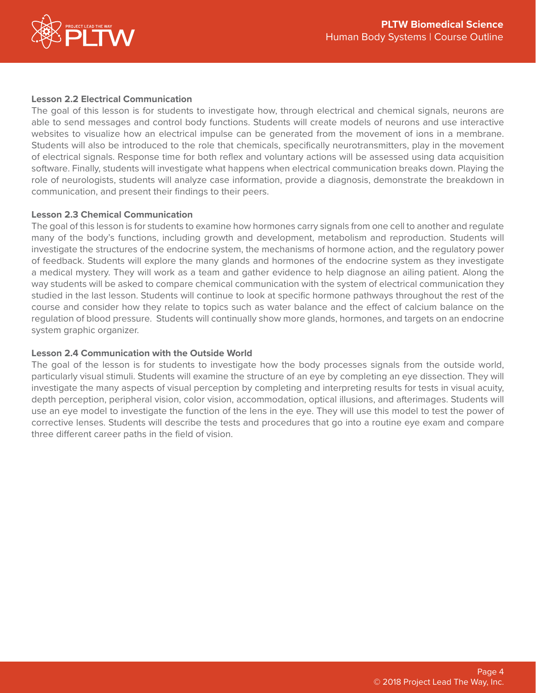

## **Lesson 2.2 Electrical Communication**

The goal of this lesson is for students to investigate how, through electrical and chemical signals, neurons are able to send messages and control body functions. Students will create models of neurons and use interactive websites to visualize how an electrical impulse can be generated from the movement of ions in a membrane. Students will also be introduced to the role that chemicals, specifically neurotransmitters, play in the movement of electrical signals. Response time for both reflex and voluntary actions will be assessed using data acquisition software. Finally, students will investigate what happens when electrical communication breaks down. Playing the role of neurologists, students will analyze case information, provide a diagnosis, demonstrate the breakdown in communication, and present their findings to their peers.

### **Lesson 2.3 Chemical Communication**

The goal of this lesson is for students to examine how hormones carry signals from one cell to another and regulate many of the body's functions, including growth and development, metabolism and reproduction. Students will investigate the structures of the endocrine system, the mechanisms of hormone action, and the regulatory power of feedback. Students will explore the many glands and hormones of the endocrine system as they investigate a medical mystery. They will work as a team and gather evidence to help diagnose an ailing patient. Along the way students will be asked to compare chemical communication with the system of electrical communication they studied in the last lesson. Students will continue to look at specific hormone pathways throughout the rest of the course and consider how they relate to topics such as water balance and the effect of calcium balance on the regulation of blood pressure. Students will continually show more glands, hormones, and targets on an endocrine system graphic organizer.

### **Lesson 2.4 Communication with the Outside World**

The goal of the lesson is for students to investigate how the body processes signals from the outside world, particularly visual stimuli. Students will examine the structure of an eye by completing an eye dissection. They will investigate the many aspects of visual perception by completing and interpreting results for tests in visual acuity, depth perception, peripheral vision, color vision, accommodation, optical illusions, and afterimages. Students will use an eye model to investigate the function of the lens in the eye. They will use this model to test the power of corrective lenses. Students will describe the tests and procedures that go into a routine eye exam and compare three different career paths in the field of vision.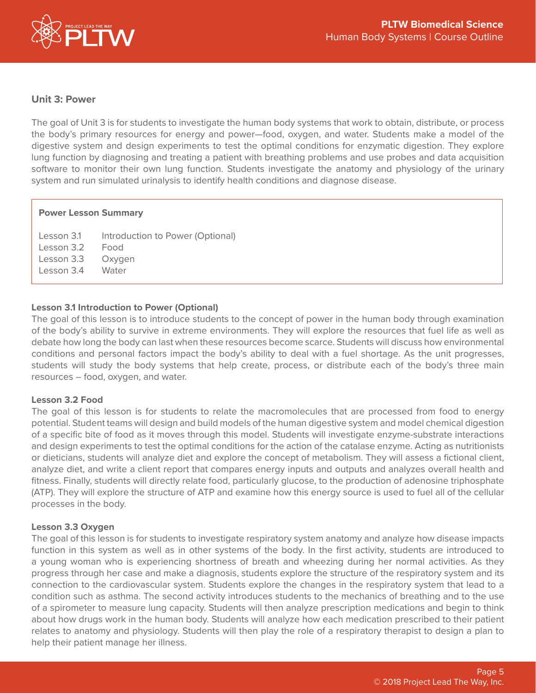

## **Unit 3: Power**

The goal of Unit 3 is for students to investigate the human body systems that work to obtain, distribute, or process the body's primary resources for energy and power—food, oxygen, and water. Students make a model of the digestive system and design experiments to test the optimal conditions for enzymatic digestion. They explore lung function by diagnosing and treating a patient with breathing problems and use probes and data acquisition software to monitor their own lung function. Students investigate the anatomy and physiology of the urinary system and run simulated urinalysis to identify health conditions and diagnose disease.

### **Power Lesson Summary**

Lesson 3.1 Introduction to Power (Optional) Lesson 3.2 Food Lesson 3.3 Oxygen Lesson 3.4 Water

### **Lesson 3.1 Introduction to Power (Optional)**

The goal of this lesson is to introduce students to the concept of power in the human body through examination of the body's ability to survive in extreme environments. They will explore the resources that fuel life as well as debate how long the body can last when these resources become scarce. Students will discuss how environmental conditions and personal factors impact the body's ability to deal with a fuel shortage. As the unit progresses, students will study the body systems that help create, process, or distribute each of the body's three main resources – food, oxygen, and water.

### **Lesson 3.2 Food**

The goal of this lesson is for students to relate the macromolecules that are processed from food to energy potential. Student teams will design and build models of the human digestive system and model chemical digestion of a specific bite of food as it moves through this model. Students will investigate enzyme-substrate interactions and design experiments to test the optimal conditions for the action of the catalase enzyme. Acting as nutritionists or dieticians, students will analyze diet and explore the concept of metabolism. They will assess a fictional client, analyze diet, and write a client report that compares energy inputs and outputs and analyzes overall health and fitness. Finally, students will directly relate food, particularly glucose, to the production of adenosine triphosphate (ATP). They will explore the structure of ATP and examine how this energy source is used to fuel all of the cellular processes in the body.

### **Lesson 3.3 Oxygen**

The goal of this lesson is for students to investigate respiratory system anatomy and analyze how disease impacts function in this system as well as in other systems of the body. In the first activity, students are introduced to a young woman who is experiencing shortness of breath and wheezing during her normal activities. As they progress through her case and make a diagnosis, students explore the structure of the respiratory system and its connection to the cardiovascular system. Students explore the changes in the respiratory system that lead to a condition such as asthma. The second activity introduces students to the mechanics of breathing and to the use of a spirometer to measure lung capacity. Students will then analyze prescription medications and begin to think about how drugs work in the human body. Students will analyze how each medication prescribed to their patient relates to anatomy and physiology. Students will then play the role of a respiratory therapist to design a plan to help their patient manage her illness.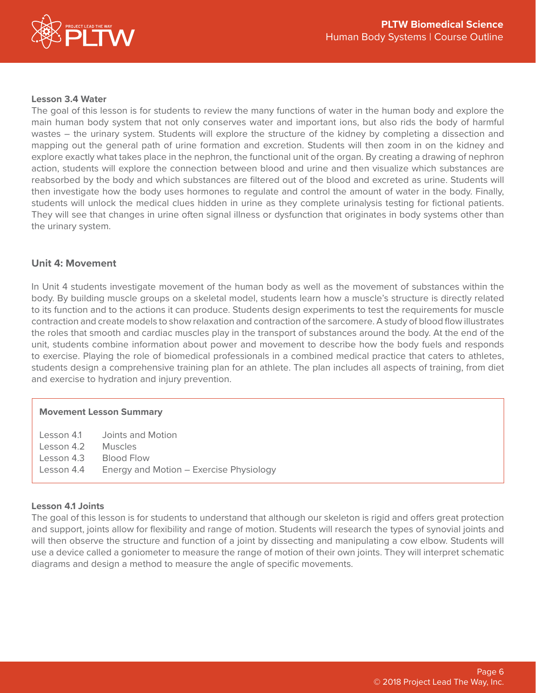

### **Lesson 3.4 Water**

The goal of this lesson is for students to review the many functions of water in the human body and explore the main human body system that not only conserves water and important ions, but also rids the body of harmful wastes – the urinary system. Students will explore the structure of the kidney by completing a dissection and mapping out the general path of urine formation and excretion. Students will then zoom in on the kidney and explore exactly what takes place in the nephron, the functional unit of the organ. By creating a drawing of nephron action, students will explore the connection between blood and urine and then visualize which substances are reabsorbed by the body and which substances are filtered out of the blood and excreted as urine. Students will then investigate how the body uses hormones to regulate and control the amount of water in the body. Finally, students will unlock the medical clues hidden in urine as they complete urinalysis testing for fictional patients. They will see that changes in urine often signal illness or dysfunction that originates in body systems other than the urinary system.

### **Unit 4: Movement**

In Unit 4 students investigate movement of the human body as well as the movement of substances within the body. By building muscle groups on a skeletal model, students learn how a muscle's structure is directly related to its function and to the actions it can produce. Students design experiments to test the requirements for muscle contraction and create models to show relaxation and contraction of the sarcomere. A study of blood flow illustrates the roles that smooth and cardiac muscles play in the transport of substances around the body. At the end of the unit, students combine information about power and movement to describe how the body fuels and responds to exercise. Playing the role of biomedical professionals in a combined medical practice that caters to athletes, students design a comprehensive training plan for an athlete. The plan includes all aspects of training, from diet and exercise to hydration and injury prevention.

### **Movement Lesson Summary**

Lesson 4.1 Joints and Motion Lesson 4.2 Muscles Lesson 4.3 Blood Flow Lesson 4.4 Energy and Motion – Exercise Physiology

### **Lesson 4.1 Joints**

The goal of this lesson is for students to understand that although our skeleton is rigid and offers great protection and support, joints allow for flexibility and range of motion. Students will research the types of synovial joints and will then observe the structure and function of a joint by dissecting and manipulating a cow elbow. Students will use a device called a goniometer to measure the range of motion of their own joints. They will interpret schematic diagrams and design a method to measure the angle of specific movements.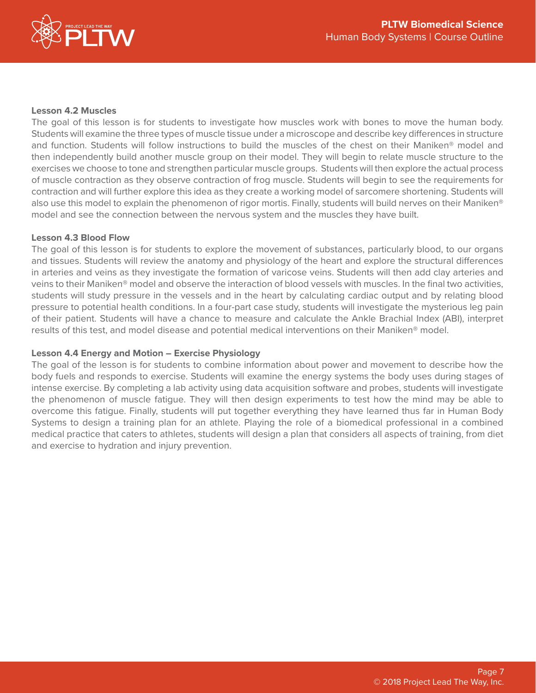

# **Lesson 4.2 Muscles**

The goal of this lesson is for students to investigate how muscles work with bones to move the human body. Students will examine the three types of muscle tissue under a microscope and describe key differences in structure and function. Students will follow instructions to build the muscles of the chest on their Maniken® model and then independently build another muscle group on their model. They will begin to relate muscle structure to the exercises we choose to tone and strengthen particular muscle groups. Students will then explore the actual process of muscle contraction as they observe contraction of frog muscle. Students will begin to see the requirements for contraction and will further explore this idea as they create a working model of sarcomere shortening. Students will also use this model to explain the phenomenon of rigor mortis. Finally, students will build nerves on their Maniken® model and see the connection between the nervous system and the muscles they have built.

### **Lesson 4.3 Blood Flow**

The goal of this lesson is for students to explore the movement of substances, particularly blood, to our organs and tissues. Students will review the anatomy and physiology of the heart and explore the structural differences in arteries and veins as they investigate the formation of varicose veins. Students will then add clay arteries and veins to their Maniken® model and observe the interaction of blood vessels with muscles. In the final two activities, students will study pressure in the vessels and in the heart by calculating cardiac output and by relating blood pressure to potential health conditions. In a four-part case study, students will investigate the mysterious leg pain of their patient. Students will have a chance to measure and calculate the Ankle Brachial Index (ABI), interpret results of this test, and model disease and potential medical interventions on their Maniken® model.

### **Lesson 4.4 Energy and Motion – Exercise Physiology**

The goal of the lesson is for students to combine information about power and movement to describe how the body fuels and responds to exercise. Students will examine the energy systems the body uses during stages of intense exercise. By completing a lab activity using data acquisition software and probes, students will investigate the phenomenon of muscle fatigue. They will then design experiments to test how the mind may be able to overcome this fatigue. Finally, students will put together everything they have learned thus far in Human Body Systems to design a training plan for an athlete. Playing the role of a biomedical professional in a combined medical practice that caters to athletes, students will design a plan that considers all aspects of training, from diet and exercise to hydration and injury prevention.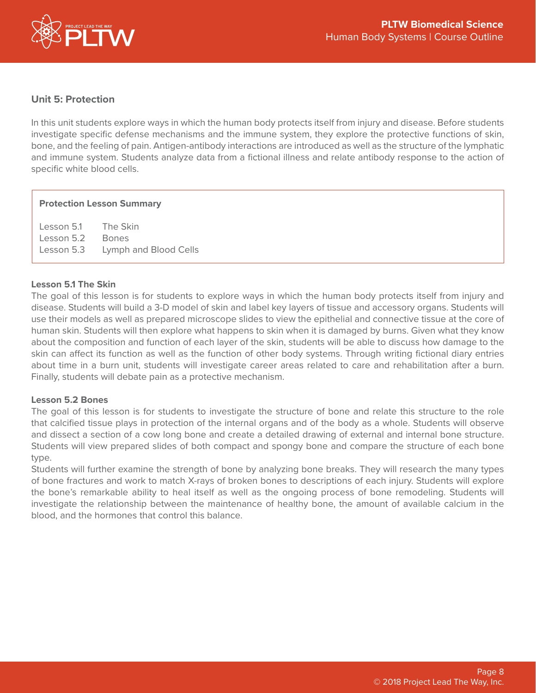

# **Unit 5: Protection**

In this unit students explore ways in which the human body protects itself from injury and disease. Before students investigate specific defense mechanisms and the immune system, they explore the protective functions of skin, bone, and the feeling of pain. Antigen-antibody interactions are introduced as well as the structure of the lymphatic and immune system. Students analyze data from a fictional illness and relate antibody response to the action of specific white blood cells.

### **Protection Lesson Summary**

Lesson 5.1 The Skin Lesson 5.2 Bones Lesson 5.3 Lymph and Blood Cells

### **Lesson 5.1 The Skin**

The goal of this lesson is for students to explore ways in which the human body protects itself from injury and disease. Students will build a 3-D model of skin and label key layers of tissue and accessory organs. Students will use their models as well as prepared microscope slides to view the epithelial and connective tissue at the core of human skin. Students will then explore what happens to skin when it is damaged by burns. Given what they know about the composition and function of each layer of the skin, students will be able to discuss how damage to the skin can affect its function as well as the function of other body systems. Through writing fictional diary entries about time in a burn unit, students will investigate career areas related to care and rehabilitation after a burn. Finally, students will debate pain as a protective mechanism.

### **Lesson 5.2 Bones**

The goal of this lesson is for students to investigate the structure of bone and relate this structure to the role that calcified tissue plays in protection of the internal organs and of the body as a whole. Students will observe and dissect a section of a cow long bone and create a detailed drawing of external and internal bone structure. Students will view prepared slides of both compact and spongy bone and compare the structure of each bone type.

Students will further examine the strength of bone by analyzing bone breaks. They will research the many types of bone fractures and work to match X-rays of broken bones to descriptions of each injury. Students will explore the bone's remarkable ability to heal itself as well as the ongoing process of bone remodeling. Students will investigate the relationship between the maintenance of healthy bone, the amount of available calcium in the blood, and the hormones that control this balance.